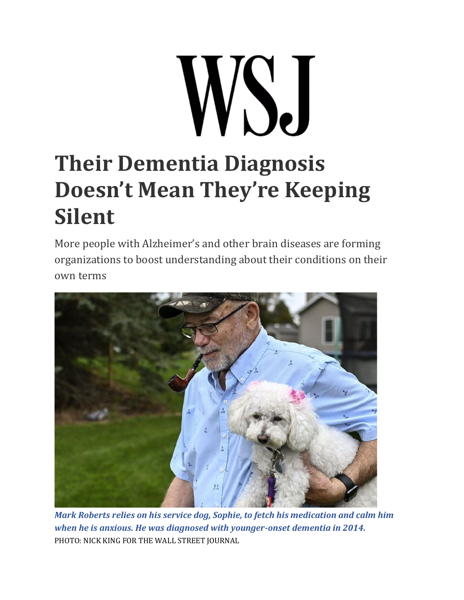## WSJ **Their Dementia Diagnosis Doesn't Mean They're Keeping Silent**

More people with Alzheimer's and other brain diseases are forming organizations to boost understanding about their conditions on their own terms



*Mark Roberts relies on his service dog, Sophie, to fetch his medication and calm him when he is anxious. He was diagnosed with younger-onset dementia in 2014.* PHOTO: NICK KING FOR THE WALL STREET JOURNAL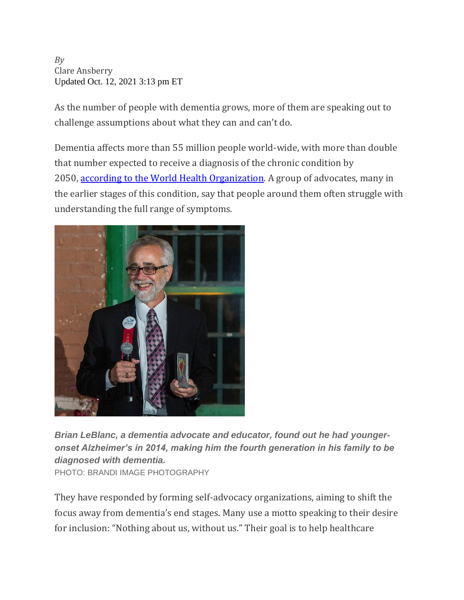*By* Clare Ansberry Updated Oct. 12, 2021 3:13 pm ET

As the number of people with dementia grows, more of them are speaking out to challenge assumptions about what they can and can't do.

Dementia affects more than 55 million people world-wide, with more than double that number expected to receive a diagnosis of the chronic condition by 2050, [according to the World Health Organization.](https://www.who.int/news-room/fact-sheets/detail/dementia) A group of advocates, many in the earlier stages of this condition, say that people around them often struggle with understanding the full range of symptoms.



*Brian LeBlanc, a dementia advocate and educator, found out he had youngeronset Alzheimer's in 2014, making him the fourth generation in his family to be diagnosed with dementia.* PHOTO: BRANDI IMAGE PHOTOGRAPHY

They have responded by forming self-advocacy organizations, aiming to shift the focus away from dementia's end stages. Many use a motto speaking to their desire for inclusion: "Nothing about us, without us." Their goal is to help healthcare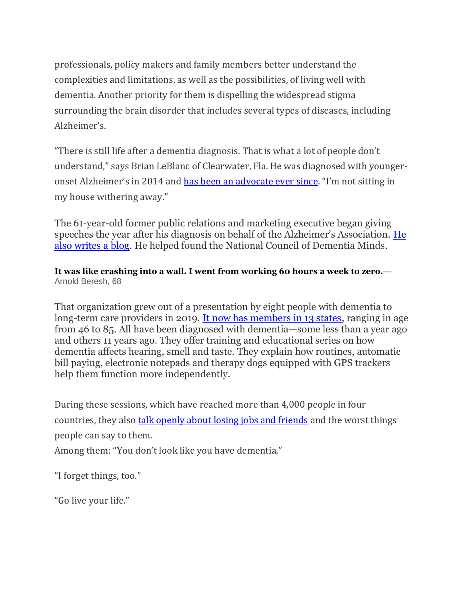professionals, policy makers and family members better understand the complexities and limitations, as well as the possibilities, of living well with dementia. Another priority for them is dispelling the widespread stigma surrounding the brain disorder that includes several types of diseases, including Alzheimer's.

"There is still life after a dementia diagnosis. That is what a lot of people don't understand," says Brian LeBlanc of Clearwater, Fla. He was diagnosed with youngeronset Alzheimer's in 2014 and [has been an advocate ever since](https://www.linkedin.com/in/thebrianleblanc/). "I'm not sitting in my house withering away."

The 61-year-old former public relations and marketing executive began giving speeches the year after his diagnosis on behalf of the Alzheimer's Association. [He](https://abitofbriansbrilliance.com/author/wearedementiastrong/)  [also writes a blog.](https://abitofbriansbrilliance.com/author/wearedementiastrong/) He helped found the National Council of Dementia Minds.

## **It was like crashing into a wall. I went from working 60 hours a week to zero.**— Arnold Beresh, 68

That organization grew out of a presentation by eight people with dementia to long-term care providers in 2019. [It now has members in 13 states,](https://dementiaminds.org/) ranging in age from 46 to 85. All have been diagnosed with dementia—some less than a year ago and others 11 years ago. They offer training and educational series on how dementia affects hearing, smell and taste. They explain how routines, automatic bill paying, electronic notepads and therapy dogs equipped with GPS trackers help them function more independently.

During these sessions, which have reached more than 4,000 people in four countries, they also **[talk openly about losing jobs and friends](https://www.wsj.com/articles/after-an-alzheimers-diagnosis-friends-stop-calling-11572091212?mod=article_inline)** and the worst things people can say to them. Among them: "You don't look like you have dementia."

"I forget things, too."

"Go live your life."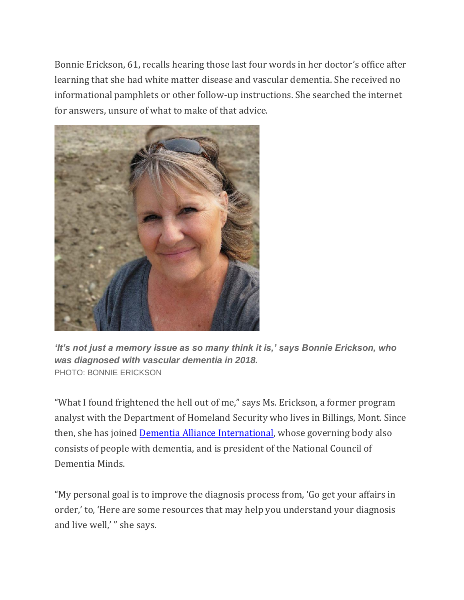Bonnie Erickson, 61, recalls hearing those last four words in her doctor's office after learning that she had white matter disease and vascular dementia. She received no informational pamphlets or other follow-up instructions. She searched the internet for answers, unsure of what to make of that advice.



*'It's not just a memory issue as so many think it is,' says Bonnie Erickson, who was diagnosed with vascular dementia in 2018.* PHOTO: BONNIE ERICKSON

"What I found frightened the hell out of me," says Ms. Erickson, a former program analyst with the Department of Homeland Security who lives in Billings, Mont. Since then, she has joined **Dementia Alliance International**, whose governing body also consists of people with dementia, and is president of the National Council of Dementia Minds.

"My personal goal is to improve the diagnosis process from, 'Go get your affairs in order,' to, 'Here are some resources that may help you understand your diagnosis and live well,' " she says.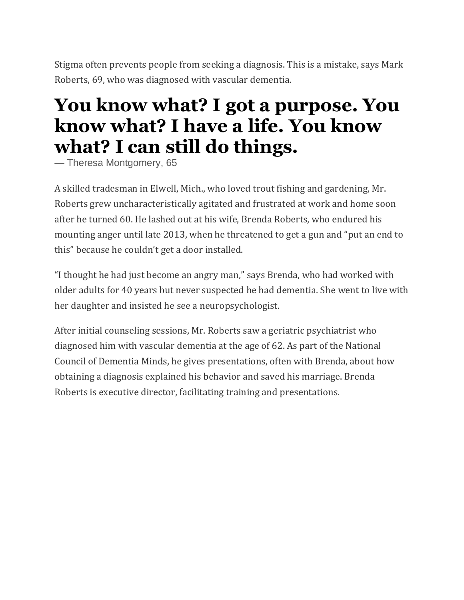Stigma often prevents people from seeking a diagnosis. This is a mistake, says Mark Roberts, 69, who was diagnosed with vascular dementia.

## **You know what? I got a purpose. You know what? I have a life. You know what? I can still do things.**

— Theresa Montgomery, 65

A skilled tradesman in Elwell, Mich., who loved trout fishing and gardening, Mr. Roberts grew uncharacteristically agitated and frustrated at work and home soon after he turned 60. He lashed out at his wife, Brenda Roberts, who endured his mounting anger until late 2013, when he threatened to get a gun and "put an end to this" because he couldn't get a door installed.

"I thought he had just become an angry man," says Brenda, who had worked with older adults for 40 years but never suspected he had dementia. She went to live with her daughter and insisted he see a neuropsychologist.

After initial counseling sessions, Mr. Roberts saw a geriatric psychiatrist who diagnosed him with vascular dementia at the age of 62. As part of the National Council of Dementia Minds, he gives presentations, often with Brenda, about how obtaining a diagnosis explained his behavior and saved his marriage. Brenda Roberts is executive director, facilitating training and presentations.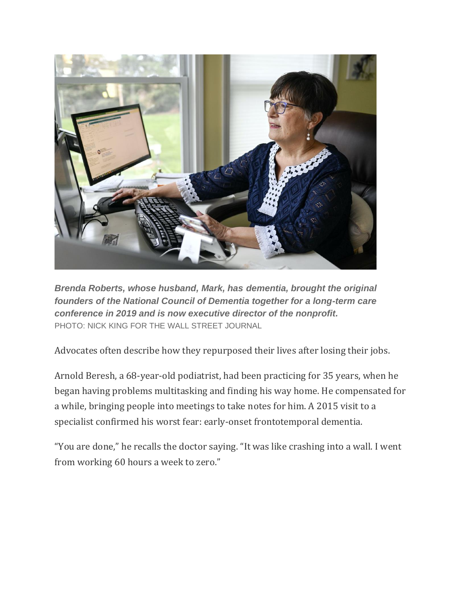

*Brenda Roberts, whose husband, Mark, has dementia, brought the original founders of the National Council of Dementia together for a long-term care conference in 2019 and is now executive director of the nonprofit.* PHOTO: NICK KING FOR THE WALL STREET JOURNAL

Advocates often describe how they repurposed their lives after losing their jobs.

Arnold Beresh, a 68-year-old podiatrist, had been practicing for 35 years, when he began having problems multitasking and finding his way home. He compensated for a while, bringing people into meetings to take notes for him. A 2015 visit to a specialist confirmed his worst fear: early-onset frontotemporal dementia.

"You are done," he recalls the doctor saying. "It was like crashing into a wall. I went from working 60 hours a week to zero."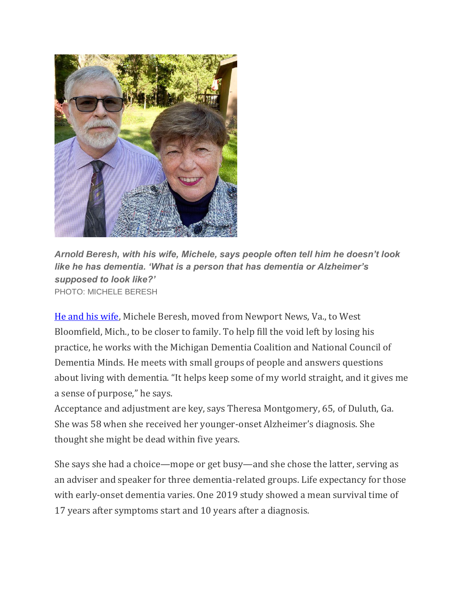

*Arnold Beresh, with his wife, Michele, says people often tell him he doesn't look like he has dementia. 'What is a person that has dementia or Alzheimer's supposed to look like?'* PHOTO: MICHELE BERESH

[He and his wife,](https://www.alz.org/gmc/news/caregiver-q-a-with-michele-beresh) Michele Beresh, moved from Newport News, Va., to West Bloomfield, Mich., to be closer to family. To help fill the void left by losing his practice, he works with the Michigan Dementia Coalition and National Council of Dementia Minds. He meets with small groups of people and answers questions about living with dementia. "It helps keep some of my world straight, and it gives me a sense of purpose," he says.

Acceptance and adjustment are key, says Theresa Montgomery, 65, of Duluth, Ga. She was 58 when she received her younger-onset Alzheimer's diagnosis. She thought she might be dead within five years.

She says she had a choice—mope or get busy—and she chose the latter, serving as an adviser and speaker for three dementia-related groups. Life expectancy for those with early-onset dementia varies. One 2019 study showed a mean survival time of 17 years after symptoms start and 10 years after a diagnosis.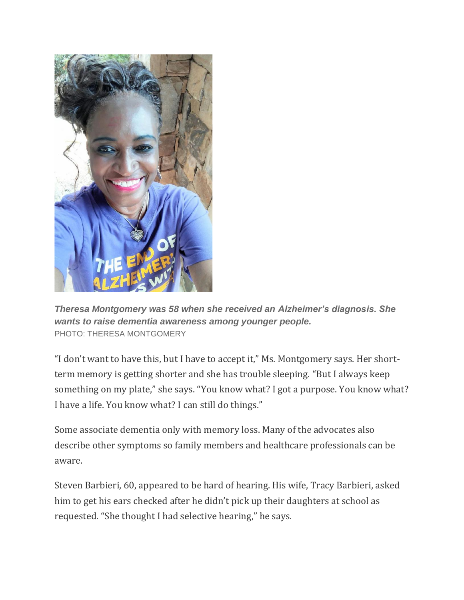

*Theresa Montgomery was 58 when she received an Alzheimer's diagnosis. She wants to raise dementia awareness among younger people.* PHOTO: THERESA MONTGOMERY

"I don't want to have this, but I have to accept it," Ms. Montgomery says. Her shortterm memory is getting shorter and she has trouble sleeping. "But I always keep something on my plate," she says. "You know what? I got a purpose. You know what? I have a life. You know what? I can still do things."

Some associate dementia only with memory loss. Many of the advocates also describe other symptoms so family members and healthcare professionals can be aware.

Steven Barbieri, 60, appeared to be hard of hearing. His wife, Tracy Barbieri, asked him to get his ears checked after he didn't pick up their daughters at school as requested. "She thought I had selective hearing," he says.